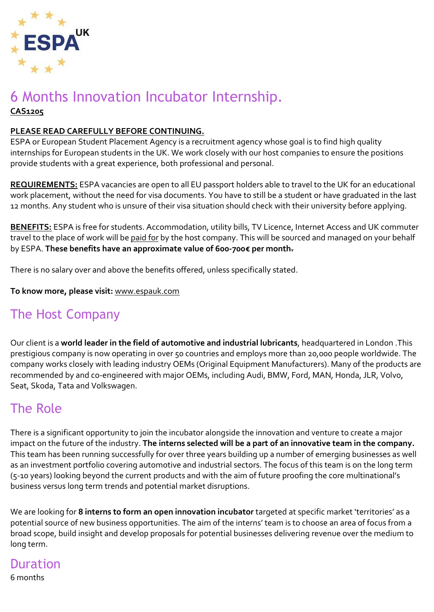

#### 6 Months Innovation Incubator Internship. **CAS1205**

#### **PLEASE READ CAREFULLY BEFORE CONTINUING.**

ESPA or European Student Placement Agency is a recruitment agency whose goal is to find high quality internships for European students in the UK. We work closely with our host companies to ensure the positions provide students with a great experience, both professional and personal.

**REQUIREMENTS:** ESPA vacancies are open to all EU passport holders able to travel to the UK for an educational work placement, without the need for visa documents. You have to still be a student or have graduated in the last 12 months. Any student who is unsure of their visa situation should check with their university before applying.

**BENEFITS:** ESPA is free for students. Accommodation, utility bills, TV Licence, Internet Access and UK commuter travel to the place of work will be paid for by the host company. This will be sourced and managed on your behalf by ESPA. **These benefits have an approximate value of 600-700€ per month.**

There is no salary over and above the benefits offered, unless specifically stated.

**To know more, please visit:** [www.espauk.com](http://www.espauk.com/)

# The Host Company

Our client is a **world leader in the field of automotive and industrial lubricants**, headquartered in London .This prestigious company is now operating in over 50 countries and employs more than 20,000 people worldwide. The company works closely with leading industry OEMs (Original Equipment Manufacturers). Many of the products are recommended by and co-engineered with major OEMs, including Audi, BMW, Ford, MAN, Honda, JLR, Volvo, Seat, Skoda, Tata and Volkswagen.

### The Role

There is a significant opportunity to join the incubator alongside the innovation and venture to create a major impact on the future of the industry. **The interns selected will be a part of an innovative team in the company.** This team has been running successfully for over three years building up a number of emerging businesses as well as an investment portfolio covering automotive and industrial sectors. The focus of this team is on the long term (5-10 years) looking beyond the current products and with the aim of future proofing the core multinational's business versus long term trends and potential market disruptions.

We are looking for **8 interns to form an open innovation incubator** targeted at specific market 'territories' as a potential source of new business opportunities. The aim of the interns' team is to choose an area of focus from a broad scope, build insight and develop proposals for potential businesses delivering revenue over the medium to long term.

#### Duration

6 months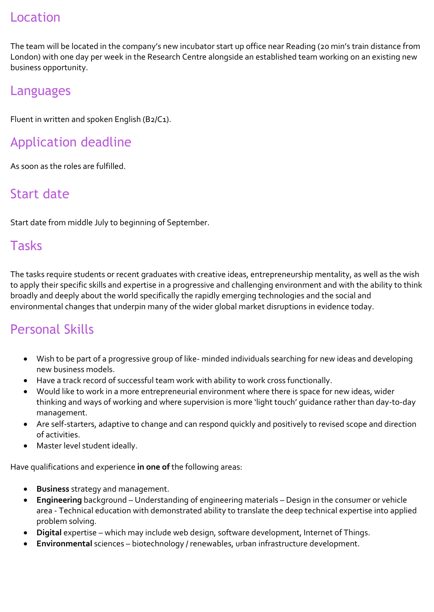### Location

The team will be located in the company's new incubator start up office near Reading (20 min's train distance from London) with one day per week in the Research Centre alongside an established team working on an existing new business opportunity.

#### Languages

Fluent in written and spoken English (B2/C1).

# Application deadline

As soon as the roles are fulfilled.

# Start date

Start date from middle July to beginning of September.

#### Tasks

The tasks require students or recent graduates with creative ideas, entrepreneurship mentality, as well as the wish to apply their specific skills and expertise in a progressive and challenging environment and with the ability to think broadly and deeply about the world specifically the rapidly emerging technologies and the social and environmental changes that underpin many of the wider global market disruptions in evidence today.

# Personal Skills

- Wish to be part of a progressive group of like- minded individuals searching for new ideas and developing new business models.
- Have a track record of successful team work with ability to work cross functionally.
- Would like to work in a more entrepreneurial environment where there is space for new ideas, wider thinking and ways of working and where supervision is more 'light touch' guidance rather than day-to-day management.
- Are self-starters, adaptive to change and can respond quickly and positively to revised scope and direction of activities.
- Master level student ideally.

Have qualifications and experience **in one of** the following areas:

- **Business** strategy and management.
- **Engineering** background Understanding of engineering materials Design in the consumer or vehicle area - Technical education with demonstrated ability to translate the deep technical expertise into applied problem solving.
- **Digital** expertise which may include web design, software development, Internet of Things.
- **Environmental** sciences biotechnology / renewables, urban infrastructure development.